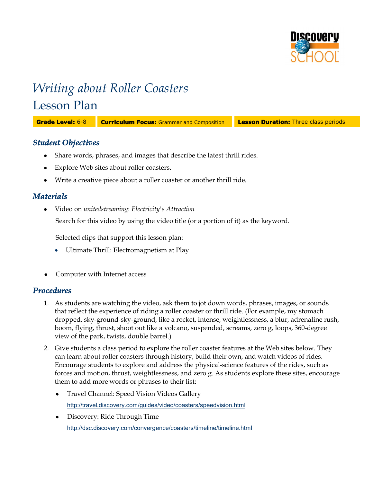

# *Writing about Roller Coasters* Lesson Plan

**Grade Level:** 6-8 **Curriculum Focus:** Grammar and Composition **Lesson Duration:** Three class periods

## *Student Objectives*

- Share words, phrases, and images that describe the latest thrill rides.
- Explore Web sites about roller coasters.
- Write a creative piece about a roller coaster or another thrill ride.

## *Materials*

Video on *unitedstreaming*: *Electricity's Attraction*

Search for this video by using the video title (or a portion of it) as the keyword.

Selected clips that support this lesson plan:

- Ultimate Thrill: Electromagnetism at Play
- Computer with Internet access

## *Procedures*

- 1. As students are watching the video, ask them to jot down words, phrases, images, or sounds that reflect the experience of riding a roller coaster or thrill ride. (For example, my stomach dropped, sky-ground-sky-ground, like a rocket, intense, weightlessness, a blur, adrenaline rush, boom, flying, thrust, shoot out like a volcano, suspended, screams, zero g, loops, 360-degree view of the park, twists, double barrel.)
- 2. Give students a class period to explore the roller coaster features at the Web sites below. They can learn about roller coasters through history, build their own, and watch videos of rides. Encourage students to explore and address the physical-science features of the rides, such as forces and motion, thrust, weightlessness, and zero g. As students explore these sites, encourage them to add more words or phrases to their list:
	- Travel Channel: Speed Vision Videos Gallery <http://travel.discovery.com/guides/video/coasters/speedvision.html>
	- Discovery: Ride Through Time <http://dsc.discovery.com/convergence/coasters/timeline/timeline.html>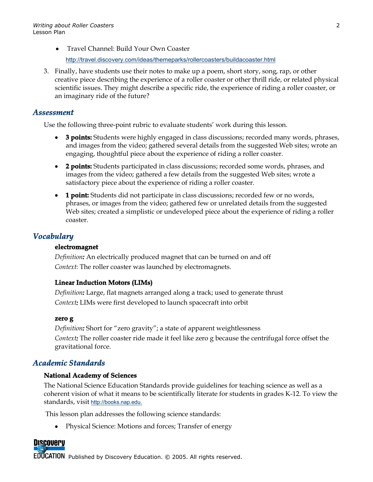Travel Channel: Build Your Own Coaster

<http://travel.discovery.com/ideas/themeparks/rollercoasters/buildacoaster.html>

3. Finally, have students use their notes to make up a poem, short story, song, rap, or other creative piece describing the experience of a roller coaster or other thrill ride, or related physical scientific issues. They might describe a specific ride, the experience of riding a roller coaster, or an imaginary ride of the future?

#### *Assessment*

Use the following three-point rubric to evaluate students' work during this lesson.

- **3 points:** Students were highly engaged in class discussions; recorded many words, phrases, and images from the video; gathered several details from the suggested Web sites; wrote an engaging, thoughtful piece about the experience of riding a roller coaster.
- **2 points:** Students participated in class discussions; recorded some words, phrases, and images from the video; gathered a few details from the suggested Web sites; wrote a satisfactory piece about the experience of riding a roller coaster.
- **1 point:** Students did not participate in class discussions; recorded few or no words, phrases, or images from the video; gathered few or unrelated details from the suggested Web sites; created a simplistic or undeveloped piece about the experience of riding a roller coaster.

# *Vocabulary*

#### **electromagnet**

*Definition:* An electrically produced magnet that can be turned on and off *Context*: The roller coaster was launched by electromagnets.

#### **Linear Induction Motors (LIMs)**

*Definition:* Large, flat magnets arranged along a track; used to generate thrust *Context:* LIMs were first developed to launch spacecraft into orbit

#### **zero g**

*Definition:* Short for "zero gravity"; a state of apparent weightlessness *Context:* The roller coaster ride made it feel like zero g because the centrifugal force offset the gravitational force.

# *Academic Standards*

#### **National Academy of Sciences**

The National Science Education Standards provide guidelines for teaching science as well as a coherent vision of what it means to be scientifically literate for students in grades K-12. To view the standards, visit [http://books.nap.edu](http://books.nap.edu/).

This lesson plan addresses the following science standards:

• Physical Science: Motions and forces; Transfer of energy